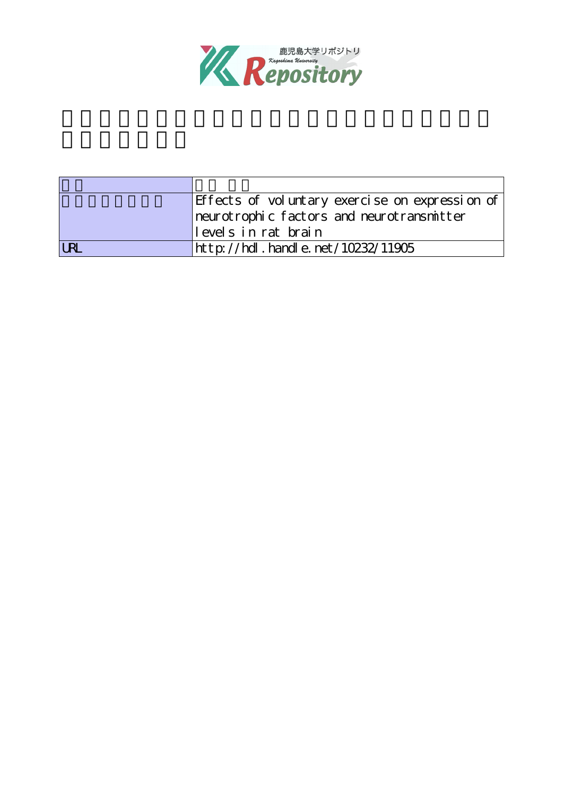

| Effects of voluntary exercise on expression of |
|------------------------------------------------|
| neurotrophic factors and neurotransmitter      |
| levels in rat brain                            |
| http://hdl.handle.net/10232/11905              |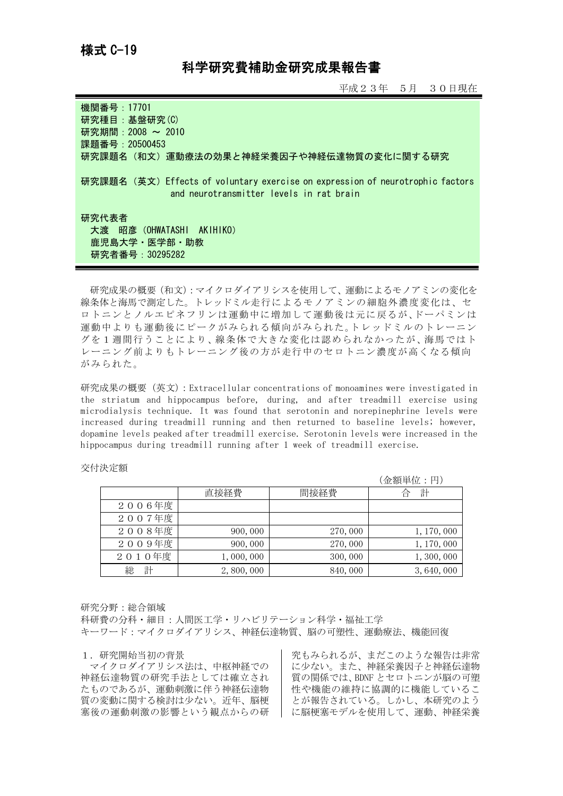# 科学研究費補助金研究成果報告書

平成23年 5月 30日現在

| 機関番号: 17701<br>研究種目: 基盤研究(C)<br>研究期間: 2008 ~ 2010<br>課題番号: 20500453                                                                                                   |
|-----------------------------------------------------------------------------------------------------------------------------------------------------------------------|
| 研究課題名(和文)運動療法の効果と神経栄養因子や神経伝達物質の変化に関する研究<br>研究課題名 (英文) Effects of voluntary exercise on expression of neurotrophic factors<br>and neurotransmitter levels in rat brain |
| 研究代表者<br>大渡 昭彦 (OHWATASHI AKIHIKO)<br>鹿児島大学・医学部・助教<br>研究者番号: 30295282                                                                                                 |

研究成果の概要(和文):マイクロダイアリシスを使用して、運動によるモノアミンの変化を 線条体と海馬で測定した。トレッドミル走行によるモノアミンの細胞外濃度変化は、セ ロトニンとノルエピネフリンは運動中に増加して運動後は元に戻るが、ドーパミンは 運動中よりも運動後にピークがみられる傾向がみられた。トレッドミルのトレーニン グを1週間行うことにより、線条体で大きな変化は認められなかったが、海馬ではト レーニング前よりもトレーニング後の方が走行中のセロトニン濃度が高くなる傾向 がみられた。

研究成果の概要(英文):Extracellular concentrations of monoamines were investigated in the striatum and hippocampus before, during, and after treadmill exercise using microdialysis technique. It was found that serotonin and norepinephrine levels were increased during treadmill running and then returned to baseline levels; however, dopamine levels peaked after treadmill exercise. Serotonin levels were increased in the hippocampus during treadmill running after 1 week of treadmill exercise.

# 交付決定額

|        |           |         | (金額単位:円)    |
|--------|-----------|---------|-------------|
|        | 直接経費      | 間接経費    | 計           |
| 2006年度 |           |         |             |
| 2007年度 |           |         |             |
| 2008年度 | 900, 000  | 270,000 | 1, 170, 000 |
| 2009年度 | 900, 000  | 270,000 | 1, 170, 000 |
| 2010年度 | 1,000,000 | 300,000 | 1, 300, 000 |
| 計<br>総 | 2,800,000 | 840,000 | 3, 640, 000 |

## 研究分野:総合領域

科研費の分科・細目:人間医工学・リハビリテーション科学・福祉工学 キーワード:マイクロダイアリシス、神経伝達物質、脳の可塑性、運動療法、機能回復

## 1.研究開始当初の背景

マイクロダイアリシス法は、中枢神経での 神経伝達物質の研究手法としては確立され たものであるが、運動刺激に伴う神経伝達物 質の変動に関する検討は少ない。近年、脳梗 塞後の運動刺激の影響という観点からの研

究もみられるが、まだこのような報告は非常 に少ない。また、神経栄養因子と神経伝達物 質の関係では、BDNF とセロトニンが脳の可塑 性や機能の維持に協調的に機能しているこ とが報告されている。しかし、本研究のよう に脳梗塞モデルを使用して、運動、神経栄養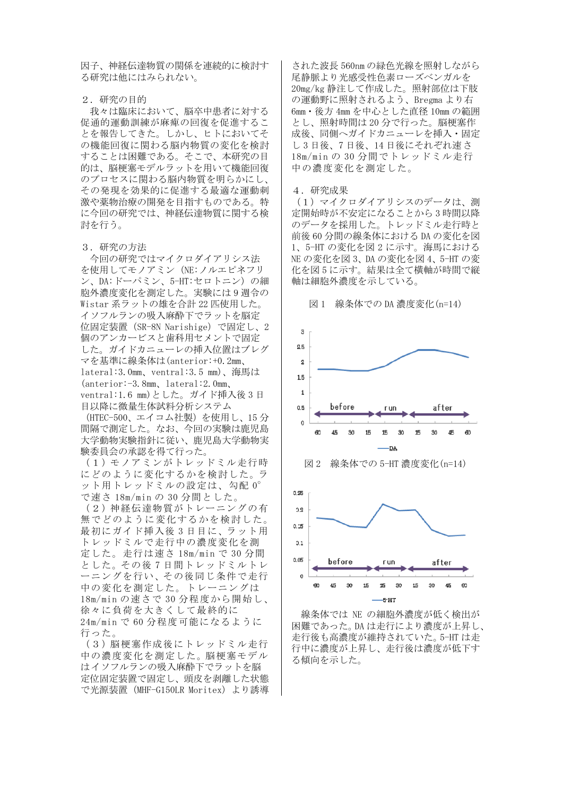因子、神経伝達物質の関係を連続的に検討す る研究は他にはみられない。

#### 2.研究の目的

我々は臨床において、脳卒中患者に対する 促通的運動訓練が麻痺の回復を促進するこ とを報告してきた。しかし、ヒトにおいてそ の機能回復に関わる脳内物質の変化を検討 することは困難である。そこで、本研究の目 的は、脳梗塞モデルラットを用いて機能回復 のプロセスに関わる脳内物質を明らかにし、 その発現を効果的に促進する最適な運動刺 激や薬物治療の開発を目指すものである。特 に今回の研究では、神経伝達物質に関する検 討を行う。

#### 3.研究の方法

今回の研究ではマイクロダイアリシス法 を使用してモノアミン(NE:ノルエピネフリ ン、DA:ドーパミン、5-HT:セロトニン)の細 胞外濃度変化を測定した。実験には 9 週令の Wistar 系ラットの雄を合計 22 匹使用した。 イソフルランの吸入麻酔下でラットを脳定 位固定装置(SR-8N Narishige)で固定し、2 個のアンカービスと歯科用セメントで固定 した。ガイドカニューレの挿入位置はブレグ マを基準に線条体は(anterior:+0.2mm、 lateral:3.0mm、ventral:3.5 mm)、海馬は (anterior:-3.8mm、lateral:2.0mm、 ventral:1.6 mm)とした。ガイド挿入後 3 日 目以降に微量生体試料分析システム

(HTEC-500、エイコム社製)を使用し、15 分 間隔で測定した。なお、今回の実験は鹿児島 大学動物実験指針に従い、鹿児島大学動物実 験委員会の承認を得て行った。

(1)モノアミンがトレッドミル走行時 にどのように変化するかを検討した。ラ ット用トレッドミルの設定は、勾配 0° で速さ 18m/min の 30 分間とした。

(2)神経伝達物質がトレーニングの有 無でどのように変化するかを検討した。 最初にガイド挿入後 3 日目に、ラット用 トレッドミルで走行中の濃度変化を測 定した。走行は速さ 18m/min で 30 分間 とした。その後 7 日間トレッドミルトレ ーニングを行い、その後同じ条件で走行 中の変化を測定した。トレーニングは 18m/min の速さで 30 分程度から開始し、 徐々に負荷を大きくして最終的に 24m/min で 60 分程度可能になるように 行った。

(3)脳梗塞作成後にトレッドミル走行 中の濃度変化を測定した。脳梗塞モデル はイソフルランの吸入麻酔下でラットを脳 定位固定装置で固定し、頭皮を剥離した状態 で光源装置(MHF-G150LR Moritex)より誘導

された波長 560nm の緑色光線を照射しながら 尾静脈より光感受性色素ローズベンガルを 20mg/kg 静注して作成した。照射部位は下肢 の運動野に照射されるよう、Bregma より右 6mm・後方 4mm を中心とした直径 10mm の範囲 とし、照射時間は 20 分で行った。脳梗塞作 成後、同側へガイドカニューレを挿入・固定 し 3 日後、7 日後、14 日後にそれぞれ速さ 18m/min の 30 分間でトレッドミル走行 中の濃度変化を測定した。

#### 4.研究成果

(1)マイクロダイアリシスのデータは、測 定開始時が不安定になることから 3 時間以降 のデータを採用した。トレッドミル走行時と 前後 60 分間の線条体における DA の変化を図 1、5-HT の変化を図 2 に示す。海馬における NE の変化を図 3、DA の変化を図 4、5-HT の変 化を図 5 に示す。結果は全て横軸が時間で縦 軸は細胞外濃度を示している。



 線条体では NE の細胞外濃度が低く検出が 困難であった。DA は走行により濃度が上昇し、 走行後も高濃度が維持されていた。5-HT は走 行中に濃度が上昇し、走行後は濃度が低下す る傾向を示した。

図 1 線条体での DA 濃度変化(n=14)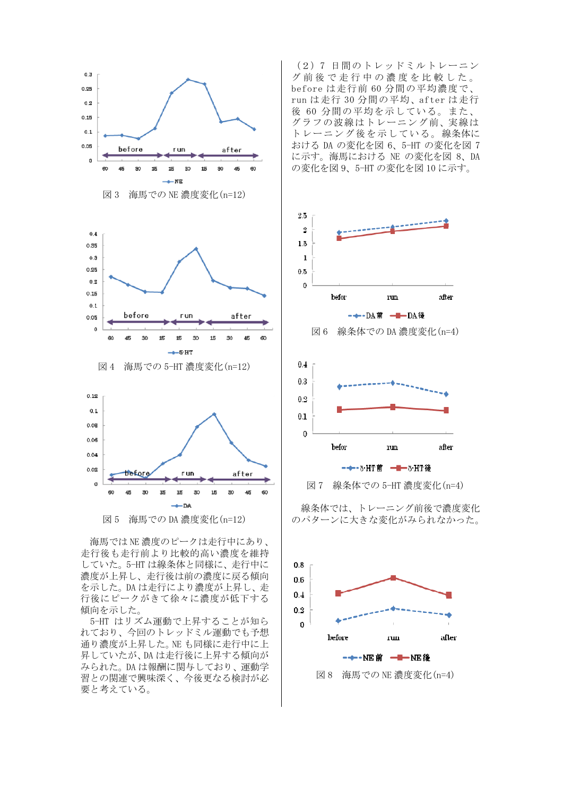

図 5 海馬での DA 濃度変化(n=12)

 海馬では NE 濃度のピークは走行中にあり、 走行後も走行前より比較的高い濃度を維持 していた。5-HT は線条体と同様に、走行中に 濃度が上昇し、走行後は前の濃度に戻る傾向 を示した。DA は走行により濃度が上昇し、走 行後にピークがきて徐々に濃度が低下する 傾向を示した。

 5-HT はリズム運動で上昇することが知ら れており、今回のトレッドミル運動でも予想 通り濃度が上昇した。NE も同様に走行中に上 昇していたが、DA は走行後に上昇する傾向が みられた。DA は報酬に関与しており、運動学 習との関連で興味深く、今後更なる検討が必 要と考えている。

(2)7 日間のトレッドミルトレーニン グ前後で走行中の濃度を比較した。 before は走行前 60 分間の平均濃度で、 run は走行 30 分間の平均、after は走行 後 60 分間の平均を示している。また、 グラフの波線はトレーニング前、実線は トレーニング後を示している。線条体に おける DA の変化を図 6、5-HT の変化を図 7 に示す。海馬における NE の変化を図 8、DA の変化を図 9、5-HT の変化を図 10 に示す。







線条体では、トレーニング前後で濃度変化 のパターンに大きな変化がみられなかった。

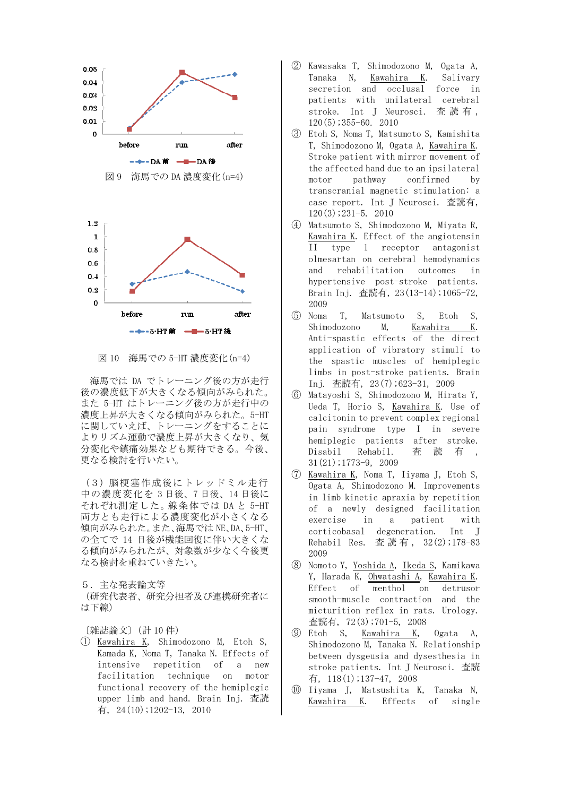

図 10 海馬での 5-HT 濃度変化(n=4)

 海馬では DA でトレーニング後の方が走行 後の濃度低下が大きくなる傾向がみられた。 また 5-HT はトレーニング後の方が走行中の 濃度上昇が大きくなる傾向がみられた。5-HT に関していえば、トレーニングをすることに よりリズム運動で濃度上昇が大きくなり、気 分変化や鎮痛効果なども期待できる。今後、 更なる検討を行いたい。

(3) 脳梗塞作成後にトレッドミル走行 中の濃度変化を 3 日後、7 日後、14 日後に それぞれ測定した。線条体では DA と 5-HT 両方とも走行による濃度変化が小さくなる 傾向がみられた。また、海馬では NE、DA、5-HT、 の全てで 14 日後が機能回復に伴い大きくな る傾向がみられたが、対象数が少なく今後更 なる検討を重ねていきたい。

5.主な発表論文等 (研究代表者、研究分担者及び連携研究者に

は下線)

〔雑誌論文〕(計 10 件)

① Kawahira K, Shimodozono M, Etoh S, Kamada K, Noma T, Tanaka N. Effects of intensive repetition of a new facilitation technique on motor functional recovery of the hemiplegic upper limb and hand. Brain Inj. 査読 有, 24(10);1202-13, 2010

- ② Kawasaka T, Shimodozono M, Ogata A, Tanaka N, Kawahira K. Salivary secretion and occlusal force in patients with unilateral cerebral stroke. Int J Neurosci. 査 読 有 , 120(5);355-60. 2010
- ③ Etoh S, Noma T, Matsumoto S, Kamishita T, Shimodozono M, Ogata A, Kawahira K. Stroke patient with mirror movement of the affected hand due to an ipsilateral motor pathway confirmed by transcranial magnetic stimulation: a case report. Int J Neurosci. 査読有, 120(3);231-5. 2010
- ④ Matsumoto S, Shimodozono M, Miyata R, Kawahira K. Effect of the angiotensin II type 1 receptor antagonist olmesartan on cerebral hemodynamics and rehabilitation outcomes in hypertensive post-stroke patients. Brain Inj. 査読有, 23(13-14);1065-72, 2009
- ⑤ Noma T, Matsumoto S, Etoh S, Shimodozono M, Kawahira K. Anti-spastic effects of the direct application of vibratory stimuli to the spastic muscles of hemiplegic limbs in post-stroke patients. Brain Inj. 査読有, 23(7);623-31, 2009
- ⑥ Matayoshi S, Shimodozono M, Hirata Y, Ueda T, Horio S, Kawahira K. Use of calcitonin to prevent complex regional pain syndrome type I in severe hemiplegic patients after stroke. Disabil Rehabil. 查 読 有 , 31(21);1773-9, 2009
- ⑦ Kawahira K, Noma T, Iiyama J, Etoh S, Ogata A, Shimodozono M. Improvements in limb kinetic apraxia by repetition of a newly designed facilitation exercise in a patient with corticobasal degeneration. Int J Rehabil Res. 查読有, 32(2);178-83 2009
- ⑧ Nomoto Y, Yoshida A, Ikeda S, Kamikawa Y, Harada K, Ohwatashi A, Kawahira K. Effect of menthol on detrusor smooth-muscle contraction and the micturition reflex in rats. Urology. 査読有, 72(3);701-5, 2008
- ⑨ Etoh S, Kawahira K, Ogata A, Shimodozono M, Tanaka N. Relationship between dysgeusia and dysesthesia in stroke patients. Int J Neurosci. 査読 有, 118(1);137-47, 2008
- ⑩ Iiyama J, Matsushita K, Tanaka N, Kawahira K. Effects of single